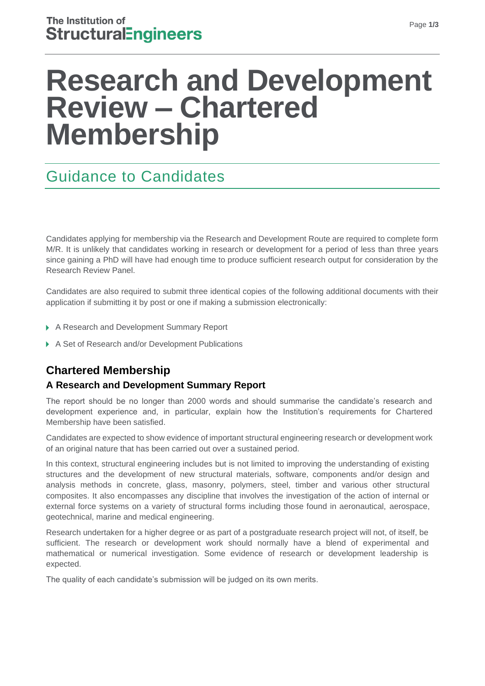# **Research and Development Review – Chartered Membership**

# Guidance to Candidates

Candidates applying for membership via the Research and Development Route are required to complete form M/R. It is unlikely that candidates working in research or development for a period of less than three years since gaining a PhD will have had enough time to produce sufficient research output for consideration by the Research Review Panel.

Candidates are also required to submit three identical copies of the following additional documents with their application if submitting it by post or one if making a submission electronically:

- ▶ A Research and Development Summary Report
- ▶ A Set of Research and/or Development Publications

# **Chartered Membership**

# **A Research and Development Summary Report**

The report should be no longer than 2000 words and should summarise the candidate's research and development experience and, in particular, explain how the Institution's requirements for Chartered Membership have been satisfied.

Candidates are expected to show evidence of important structural engineering research or development work of an original nature that has been carried out over a sustained period.

In this context, structural engineering includes but is not limited to improving the understanding of existing structures and the development of new structural materials, software, components and/or design and analysis methods in concrete, glass, masonry, polymers, steel, timber and various other structural composites. It also encompasses any discipline that involves the investigation of the action of internal or external force systems on a variety of structural forms including those found in aeronautical, aerospace, geotechnical, marine and medical engineering.

Research undertaken for a higher degree or as part of a postgraduate research project will not, of itself, be sufficient. The research or development work should normally have a blend of experimental and mathematical or numerical investigation. Some evidence of research or development leadership is expected.

The quality of each candidate's submission will be judged on its own merits.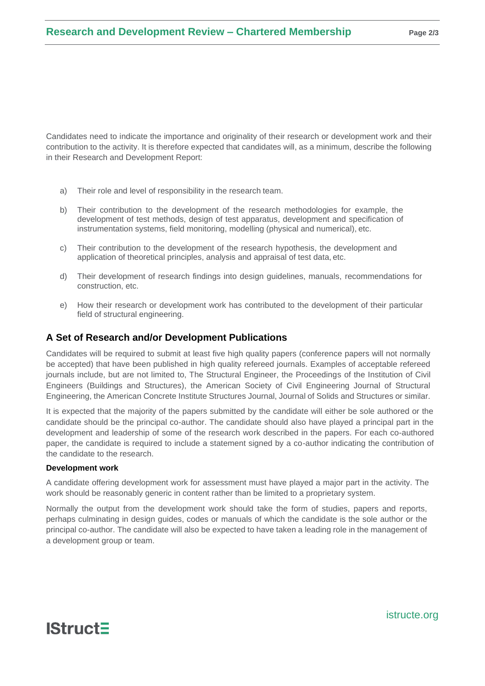Candidates need to indicate the importance and originality of their research or development work and their contribution to the activity. It is therefore expected that candidates will, as a minimum, describe the following in their Research and Development Report:

- a) Their role and level of responsibility in the research team.
- b) Their contribution to the development of the research methodologies for example, the development of test methods, design of test apparatus, development and specification of instrumentation systems, field monitoring, modelling (physical and numerical), etc.
- c) Their contribution to the development of the research hypothesis, the development and application of theoretical principles, analysis and appraisal of test data, etc.
- d) Their development of research findings into design guidelines, manuals, recommendations for construction, etc.
- e) How their research or development work has contributed to the development of their particular field of structural engineering.

## **A Set of Research and/or Development Publications**

Candidates will be required to submit at least five high quality papers (conference papers will not normally be accepted) that have been published in high quality refereed journals. Examples of acceptable refereed journals include, but are not limited to, The Structural Engineer, the Proceedings of the Institution of Civil Engineers (Buildings and Structures), the American Society of Civil Engineering Journal of Structural Engineering, the American Concrete Institute Structures Journal, Journal of Solids and Structures or similar.

It is expected that the majority of the papers submitted by the candidate will either be sole authored or the candidate should be the principal co-author. The candidate should also have played a principal part in the development and leadership of some of the research work described in the papers. For each co-authored paper, the candidate is required to include a statement signed by a co-author indicating the contribution of the candidate to the research.

#### **Development work**

A candidate offering development work for assessment must have played a major part in the activity. The work should be reasonably generic in content rather than be limited to a proprietary system.

Normally the output from the development work should take the form of studies, papers and reports, perhaps culminating in design guides, codes or manuals of which the candidate is the sole author or the principal co-author. The candidate will also be expected to have taken a leading role in the management of a development group or team.



istructe.org